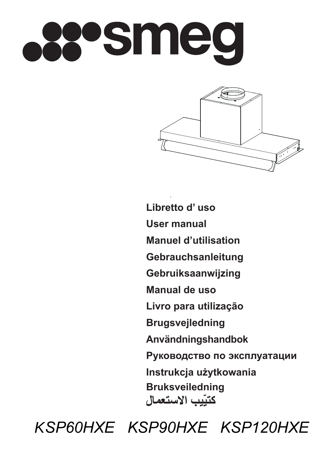



**Libretto d' uso User manual Manuel d'utilisation Gebrauchsanleitung Gebruiksaanwijzing Manual de uso Livro para utilização Brugsvejledning Användningshandbok Руководство по эксплуатации Instrukcja użytkowania Bruksveiledning**كتيبب الاستعمال

*KSP60HXE KSP90HXE KSP120HXE*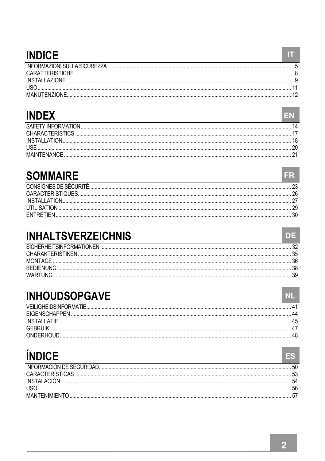## **INDICE**

## **INDEX**

| <b>INDEX</b> |  |
|--------------|--|
|              |  |
|              |  |
|              |  |
|              |  |
|              |  |

### **SOMMAIRE**

| CONSIGNES DE SÉCURI |  |
|---------------------|--|
|                     |  |
| <b>INSTALLATIC</b>  |  |
|                     |  |
|                     |  |

## **INHALTSVERZEICHNIS**

| SICHERHEITSINFORMATIONEN |  |
|--------------------------|--|
| CHARAKTERISTIKEN         |  |
| MONTAGE                  |  |
| <b>REDIENI</b>           |  |
|                          |  |

## **INHOUDSOPGAVE**

| VEILIGHEIDSINFORMA    |  |
|-----------------------|--|
| <b>FIGENSCHAPPEN</b>  |  |
| INSTALLA <sup>.</sup> |  |
|                       |  |
|                       |  |
|                       |  |

# **ÍNDICF**

| INSTALACIÓN |  |
|-------------|--|
|             |  |
|             |  |
|             |  |

 $\mathbf{H}$ 

FR.

DE

 $NL$ 

ES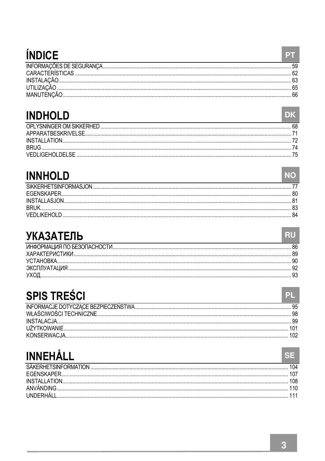# **ÍNDICE**

| . |  |
|---|--|
|   |  |
|   |  |
|   |  |
|   |  |
|   |  |

## **INDHOLD**

| <b>INDHOLD</b> |    |
|----------------|----|
|                | 68 |
|                |    |
|                |    |
|                |    |
|                |    |

## **INNHOLD**

| SIKKERHETSINFORMAS.ION |  |
|------------------------|--|
|                        |  |
|                        |  |
|                        |  |
|                        |  |

## **УКАЗАТЕЛЬ**

| VCTAHORKA            |  |
|----------------------|--|
| <b>AKCUUVATALINY</b> |  |
|                      |  |
|                      |  |

## **SPIS TREŚCI**

| INSTALAC.IA         |  |
|---------------------|--|
| <b>IIZYTKOWANI-</b> |  |
| KONSERWAC           |  |
|                     |  |

# **INNEHÅLL**

| SAKERHETSINFORMATION |  |
|----------------------|--|
| <b>FGENSKAPER</b>    |  |
|                      |  |
|                      |  |
|                      |  |
|                      |  |

**PT** 

RU

 $PL$ 

**SE**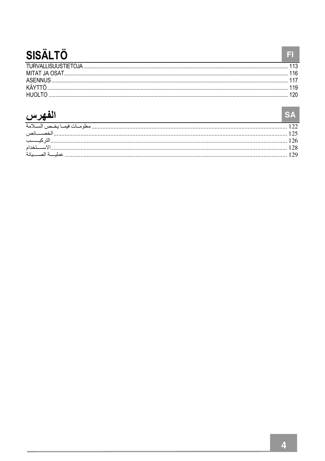# **SISÄLTÖ**

# الفهرس

| الفهرس |  |
|--------|--|
|        |  |
|        |  |
|        |  |
|        |  |
|        |  |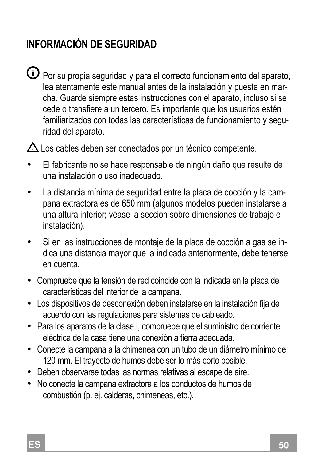## **INFORMACIÓN DE SEGURIDAD**

 $\overline{\mathbf{O}}$  Por su propia seguridad y para el correcto funcionamiento del aparato, lea atentamente este manual antes de la instalación y puesta en marcha. Guarde siempre estas instrucciones con el aparato, incluso si se cede o transfiere a un tercero. Es importante que los usuarios estén familiarizados con todas las características de funcionamiento y seguridad del aparato.

 $\triangle$  Los cables deben ser conectados por un técnico competente.

- El fabricante no se hace responsable de ningún daño que resulte de una instalación o uso inadecuado.
- La distancia mínima de seguridad entre la placa de cocción y la campana extractora es de 650 mm (algunos modelos pueden instalarse a una altura inferior; véase la sección sobre dimensiones de trabajo e instalación).
- Si en las instrucciones de montaje de la placa de cocción a gas se indica una distancia mayor que la indicada anteriormente, debe tenerse en cuenta.
- Compruebe que la tensión de red coincide con la indicada en la placa de características del interior de la campana.
- Los dispositivos de desconexión deben instalarse en la instalación fija de acuerdo con las regulaciones para sistemas de cableado.
- Para los aparatos de la clase I, compruebe que el suministro de corriente eléctrica de la casa tiene una conexión a tierra adecuada.
- Conecte la campana a la chimenea con un tubo de un diámetro mínimo de 120 mm. El trayecto de humos debe ser lo más corto posible.
- Deben observarse todas las normas relativas al escape de aire.
- No conecte la campana extractora a los conductos de humos de combustión (p. ej. calderas, chimeneas, etc.).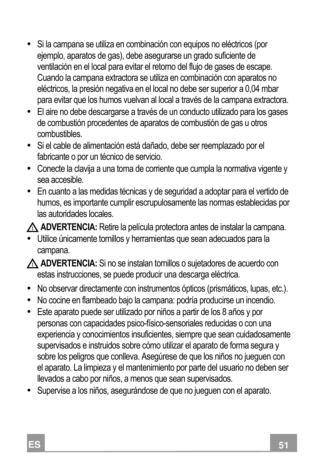- Si la campana se utiliza en combinación con equipos no eléctricos (por ejemplo, aparatos de gas), debe asegurarse un grado suficiente de ventilación en el local para evitar el retorno del flujo de gases de escape. Cuando la campana extractora se utiliza en combinación con aparatos no eléctricos, la presión negativa en el local no debe ser superior a 0,04 mbar para evitar que los humos vuelvan al local a través de la campana extractora.
- El aire no debe descargarse a través de un conducto utilizado para los gases de combustión procedentes de aparatos de combustión de gas u otros combustibles.
- Si el cable de alimentación está dañado, debe ser reemplazado por el fabricante o por un técnico de servicio.
- Conecte la clavija a una toma de corriente que cumpla la normativa vigente y sea accesible.
- En cuanto a las medidas técnicas y de seguridad a adoptar para el vertido de humos, es importante cumplir escrupulosamente las normas establecidas por las autoridades locales.

 **ADVERTENCIA:** Retire la película protectora antes de instalar la campana.

- Utilice únicamente tornillos y herramientas que sean adecuados para la campana.
- **ADVERTENCIA:** Si no se instalan tornillos o sujetadores de acuerdo con estas instrucciones, se puede producir una descarga eléctrica.
- No observar directamente con instrumentos ópticos (prismáticos, lupas, etc.).
- No cocine en flambeado bajo la campana: podría producirse un incendio.
- Este aparato puede ser utilizado por niños a partir de los 8 años y por personas con capacidades psico-físico-sensoriales reducidas o con una experiencia y conocimientos insuficientes, siempre que sean cuidadosamente supervisados e instruidos sobre cómo utilizar el aparato de forma segura y sobre los peligros que conlleva. Asegúrese de que los niños no jueguen con el aparato. La limpieza y el mantenimiento por parte del usuario no deben ser llevados a cabo por niños, a menos que sean supervisados.
- Supervise a los niños, asegurándose de que no jueguen con el aparato.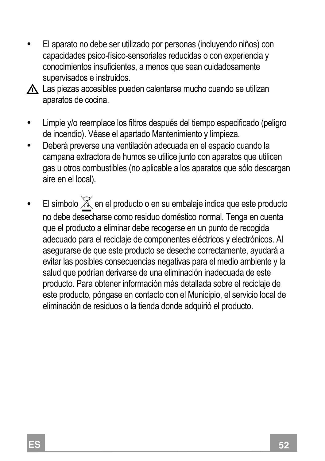• El aparato no debe ser utilizado por personas (incluyendo niños) con capacidades psico-físico-sensoriales reducidas o con experiencia y conocimientos insuficientes, a menos que sean cuidadosamente supervisados e instruidos.



A Las piezas accesibles pueden calentarse mucho cuando se utilizan aparatos de cocina.

- Limpie y/o reemplace los filtros después del tiempo especificado (peligro de incendio). Véase el apartado Mantenimiento y limpieza.
- Deberá preverse una ventilación adecuada en el espacio cuando la campana extractora de humos se utilice junto con aparatos que utilicen gas u otros combustibles (no aplicable a los aparatos que sólo descargan aire en el local).
- El símbolo  $\widetilde{\mathbb{X}}$  en el producto o en su embalaje indica que este producto no debe desecharse como residuo doméstico normal. Tenga en cuenta que el producto a eliminar debe recogerse en un punto de recogida adecuado para el reciclaje de componentes eléctricos y electrónicos. Al asegurarse de que este producto se deseche correctamente, ayudará a evitar las posibles consecuencias negativas para el medio ambiente y la salud que podrían derivarse de una eliminación inadecuada de este producto. Para obtener información más detallada sobre el reciclaje de este producto, póngase en contacto con el Municipio, el servicio local de eliminación de residuos o la tienda donde adquirió el producto.

**2**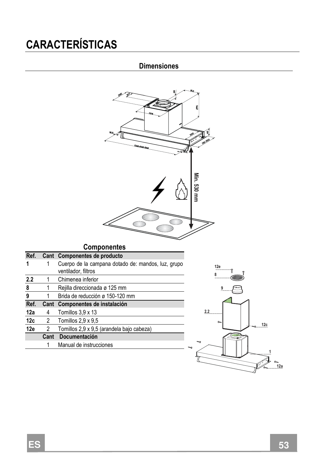# **CARACTERÍSTICAS**

### **Dimensiones**



#### **Componentes**

| Ref. |      | Cant Componentes de producto                                              |  |  |
|------|------|---------------------------------------------------------------------------|--|--|
|      |      | Cuerpo de la campana dotado de: mandos, luz, grupo<br>ventilador, filtros |  |  |
| 2.2  | 1    | Chimenea inferior                                                         |  |  |
| 8    | 1    | Rejilla direccionada ø 125 mm                                             |  |  |
| 9    |      | Brida de reducción ø 150-120 mm                                           |  |  |
| Ref. |      |                                                                           |  |  |
|      |      | Cant Componentes de instalación                                           |  |  |
| 12a  | 4    | Tomillos 3,9 x 13                                                         |  |  |
| 12c  |      | 2 Tomillos $2.9 \times 9.5$                                               |  |  |
| 12e  | 2    | Tornillos 2,9 x 9,5 (arandela bajo cabeza)                                |  |  |
|      | Cant | Documentación                                                             |  |  |
|      |      | Manual de instrucciones                                                   |  |  |

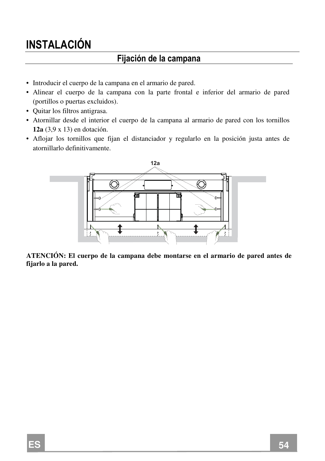## **INSTALACIÓN**

### **Fijación de la campana**

- Introducir el cuerpo de la campana en el armario de pared.
- Alinear el cuerpo de la campana con la parte frontal e inferior del armario de pared (portillos o puertas excluidos).
- Quitar los filtros antigrasa.
- Atornillar desde el interior el cuerpo de la campana al armario de pared con los tornillos **12a** (3,9 x 13) en dotación.
- Aflojar los tornillos que fijan el distanciador y regularlo en la posición justa antes de atornillarlo definitivamente.



**ATENCIÓN: El cuerpo de la campana debe montarse en el armario de pared antes de fijarlo a la pared.**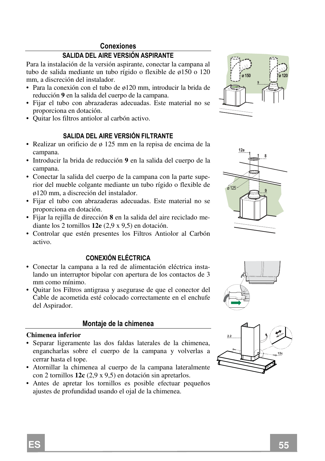#### **Conexiones**

#### **SALIDA DEL AIRE VERSIÓN ASPIRANTE**

Para la instalación de la versión aspirante, conectar la campana al tubo de salida mediante un tubo rígido o flexible de ø150 o 120 mm, a discreción del instalador.

- Para la conexión con el tubo de ø120 mm, introducir la brida de reducción **9** en la salida del cuerpo de la campana.
- Fijar el tubo con abrazaderas adecuadas. Este material no se proporciona en dotación.
- Quitar los filtros antiolor al carbón activo.

#### **SALIDA DEL AIRE VERSIÓN FILTRANTE**

- Realizar un orificio de ø 125 mm en la repisa de encima de la campana.
- Introducir la brida de reducción **9** en la salida del cuerpo de la campana.
- Conectar la salida del cuerpo de la campana con la parte superior del mueble colgante mediante un tubo rígido o flexible de ø120 mm, a discreción del instalador.
- Fijar el tubo con abrazaderas adecuadas. Este material no se proporciona en dotación.
- Fijar la rejilla de dirección **8** en la salida del aire reciclado mediante los 2 tornillos **12e** (2,9 x 9,5) en dotación.
- Controlar que estén presentes los Filtros Antiolor al Carbón activo.

#### **CONEXIÓN ELÉCTRICA**

- Conectar la campana a la red de alimentación eléctrica instalando un interruptor bipolar con apertura de los contactos de 3 mm como mínimo.
- Quitar los Filtros antigrasa y asegurase de que el conector del Cable de acometida esté colocado correctamente en el enchufe del Aspirador.

#### **Montaje de la chimenea**

#### **Chimenea inferior**

- Separar ligeramente las dos faldas laterales de la chimenea, engancharlas sobre el cuerpo de la campana y volverlas a cerrar hasta el tope.
- Atornillar la chimenea al cuerpo de la campana lateralmente con 2 tornillos **12c** (2,9 x 9,5) en dotación sin apretarlos.
- Antes de apretar los tornillos es posible efectuar pequeños ajustes de profundidad usando el ojal de la chimenea.







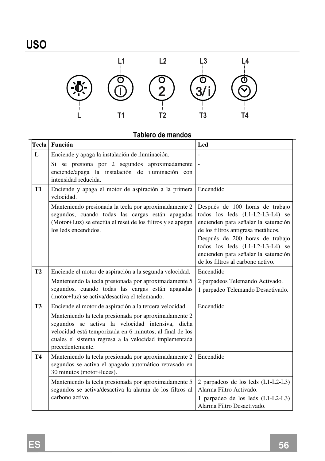

### **Tablero de mandos**

| Tecla          | Función                                                                                                                                                                                                                                            | Led                                                                                                                                                                                                                                                                                                  |  |  |  |
|----------------|----------------------------------------------------------------------------------------------------------------------------------------------------------------------------------------------------------------------------------------------------|------------------------------------------------------------------------------------------------------------------------------------------------------------------------------------------------------------------------------------------------------------------------------------------------------|--|--|--|
| L              | Enciende y apaga la instalación de iluminación.                                                                                                                                                                                                    |                                                                                                                                                                                                                                                                                                      |  |  |  |
|                | Si se presiona por 2 segundos aproximadamente<br>enciende/apaga la instalación de iluminación con<br>intensidad reducida.                                                                                                                          |                                                                                                                                                                                                                                                                                                      |  |  |  |
| <b>T1</b>      | Enciende y apaga el motor de aspiración a la primera<br>velocidad.                                                                                                                                                                                 | Encendido                                                                                                                                                                                                                                                                                            |  |  |  |
|                | Manteniendo presionada la tecla por aproximadamente 2<br>segundos, cuando todas las cargas están apagadas<br>(Motor+Luz) se efectúa el reset de los filtros y se apagan<br>los leds encendidos.                                                    | Después de 100 horas de trabajo<br>todos los leds (L1-L2-L3-L4) se<br>encienden para señalar la saturación<br>de los filtros antigrasa metálicos.<br>Después de 200 horas de trabajo<br>todos los leds (L1-L2-L3-L4) se<br>encienden para señalar la saturación<br>de los filtros al carbono activo. |  |  |  |
| T <sub>2</sub> | Enciende el motor de aspiración a la segunda velocidad.                                                                                                                                                                                            | Encendido                                                                                                                                                                                                                                                                                            |  |  |  |
|                | Manteniendo la tecla presionada por aproximadamente 5<br>segundos, cuando todas las cargas están apagadas<br>(motor+luz) se activa/desactiva el telemando.                                                                                         | 2 parpadeos Telemando Activado.<br>1 parpadeo Telemando Desactivado.                                                                                                                                                                                                                                 |  |  |  |
| <b>T3</b>      | Enciende el motor de aspiración a la tercera velocidad.                                                                                                                                                                                            | Encendido                                                                                                                                                                                                                                                                                            |  |  |  |
|                | Manteniendo la tecla presionada por aproximadamente 2<br>segundos se activa la velocidad intensiva, dicha<br>velocidad está temporizada en 6 minutos, al final de los<br>cuales el sistema regresa a la velocidad implementada<br>precedentemente. |                                                                                                                                                                                                                                                                                                      |  |  |  |
| <b>T4</b>      | Manteniendo la tecla presionada por aproximadamente 2<br>segundos se activa el apagado automático retrasado en<br>30 minutos (motor+luces).                                                                                                        | Encendido                                                                                                                                                                                                                                                                                            |  |  |  |
|                | Manteniendo la tecla presionada por aproximadamente 5<br>segundos se activa/desactiva la alarma de los filtros al<br>carbono activo.                                                                                                               | 2 parpadeos de los leds (L1-L2-L3)<br>Alarma Filtro Activado.<br>1 parpadeo de los leds (L1-L2-L3)<br>Alarma Filtro Desactivado.                                                                                                                                                                     |  |  |  |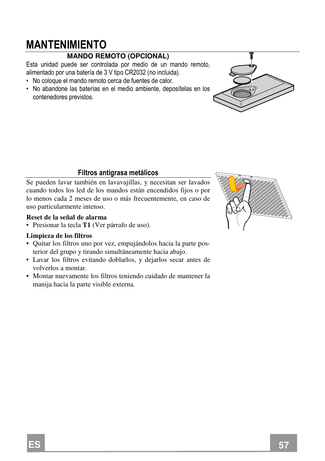## **MANTENIMIENTO**

### **MANDO REMOTO (OPCIONAL)**

Esta unidad puede ser controlada por medio de un mando remoto, alimentado por una batería de 3 V tipo CR2032 (no incluida).

- No coloque el mando remoto cerca de fuentes de calor.
- No abandone las baterías en el medio ambiente, deposítelas en los contenedores previstos.

#### **Filtros antigrasa metálicos**

Se pueden lavar también en lavavajillas, y necesitan ser lavados cuando todos los led de los mandos están encendidos fijos o por lo menos cada 2 meses de uso o más frecuentemente, en caso de uso particularmente intenso.

#### **Reset de la señal de alarma**

• Presionar la tecla **T1** (Ver párrafo de uso).

#### **Limpieza de los filtros**

- Quitar los filtros uno por vez, empujándolos hacia la parte posterior del grupo y tirando simultáneamente hacia abajo.
- Lavar los filtros evitando doblarlos, y dejarlos secar antes de volverlos a montar.
- Montar nuevamente los filtros teniendo cuidado de mantener la manija hacia la parte visible externa.